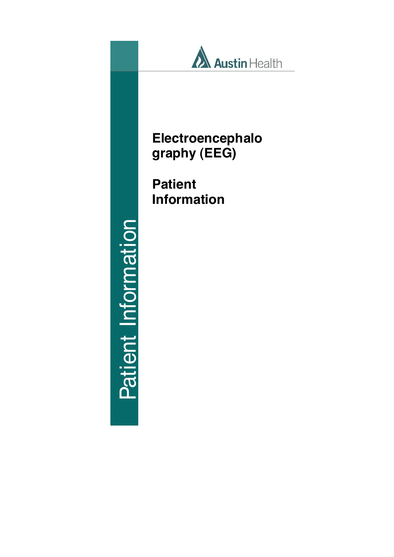

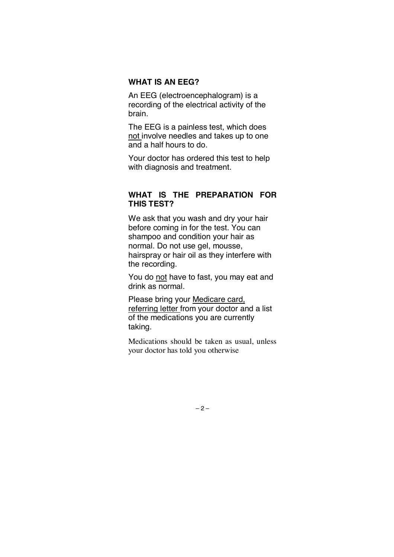#### **WHAT IS AN EEG?**

An EEG (electroencephalogram) is a recording of the electrical activity of the brain.

The EEG is a painless test, which does not involve needles and takes up to one and a half hours to do.

Your doctor has ordered this test to help with diagnosis and treatment.

# **WHAT IS THE PREPARATION FOR THIS TEST?**

We ask that you wash and dry your hair before coming in for the test. You can shampoo and condition your hair as normal. Do not use gel, mousse, hairspray or hair oil as they interfere with the recording.

You do not have to fast, you may eat and drink as normal.

Please bring your Medicare card, referring letter from your doctor and a list of the medications you are currently taking.

Medications should be taken as usual, unless your doctor has told you otherwise

 $-2-$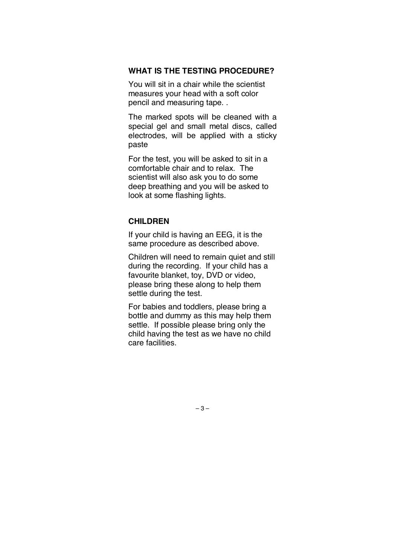#### **WHAT IS THE TESTING PROCEDURE?**

You will sit in a chair while the scientist measures your head with a soft color pencil and measuring tape. .

The marked spots will be cleaned with a special gel and small metal discs, called electrodes, will be applied with a sticky paste

For the test, you will be asked to sit in a comfortable chair and to relax. The scientist will also ask you to do some deep breathing and you will be asked to look at some flashing lights.

# **CHILDREN**

If your child is having an EEG, it is the same procedure as described above.

Children will need to remain quiet and still during the recording. If your child has a favourite blanket, toy, DVD or video, please bring these along to help them settle during the test.

For babies and toddlers, please bring a bottle and dummy as this may help them settle. If possible please bring only the child having the test as we have no child care facilities.

 $-3-$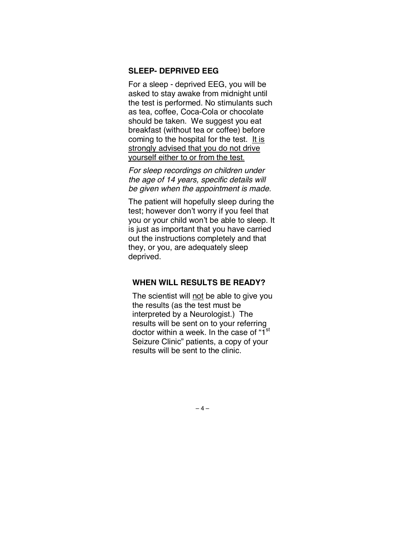## **SLEEP- DEPRIVED EEG**

For a sleep - deprived EEG, you will be asked to stay awake from midnight until the test is performed. No stimulants such as tea, coffee, Coca-Cola or chocolate should be taken. We suggest you eat breakfast (without tea or coffee) before coming to the hospital for the test. It is strongly advised that you do not drive yourself either to or from the test.

*For sleep recordings on children under the age of 14 years, specific details will be given when the appointment is made*.

The patient will hopefully sleep during the test; however don't worry if you feel that you or your child won't be able to sleep. It is just as important that you have carried out the instructions completely and that they, or you, are adequately sleep deprived.

## **WHEN WILL RESULTS BE READY?**

The scientist will not be able to give you the results (as the test must be interpreted by a Neurologist.) The results will be sent on to your referring doctor within a week. In the case of "1<sup>st</sup> Seizure Clinic" patients, a copy of your results will be sent to the clinic.

 $-4-$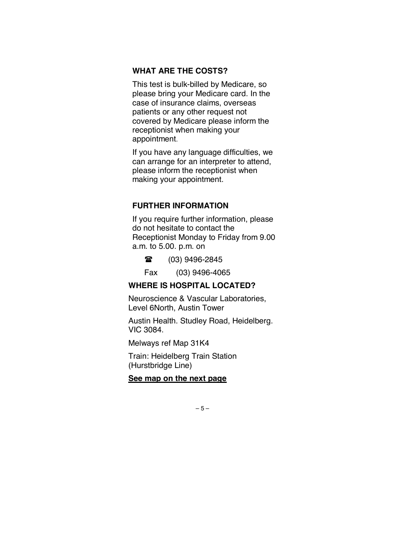#### **WHAT ARE THE COSTS?**

This test is bulk-billed by Medicare, so please bring your Medicare card. In the case of insurance claims, overseas patients or any other request not covered by Medicare please inform the receptionist when making your appointment.

If you have any language difficulties, we can arrange for an interpreter to attend, please inform the receptionist when making your appointment.

## **FURTHER INFORMATION**

If you require further information, please do not hesitate to contact the Receptionist Monday to Friday from 9.00 a.m. to 5.00. p.m. on

● (03) 9496-2845

Fax (03) 9496-4065

# **WHERE IS HOSPITAL LOCATED?**

Neuroscience & Vascular Laboratories, Level 6North, Austin Tower

Austin Health. Studley Road, Heidelberg. VIC 3084.

Melways ref Map 31K4

Train: Heidelberg Train Station (Hurstbridge Line)

## **See map on the next page**